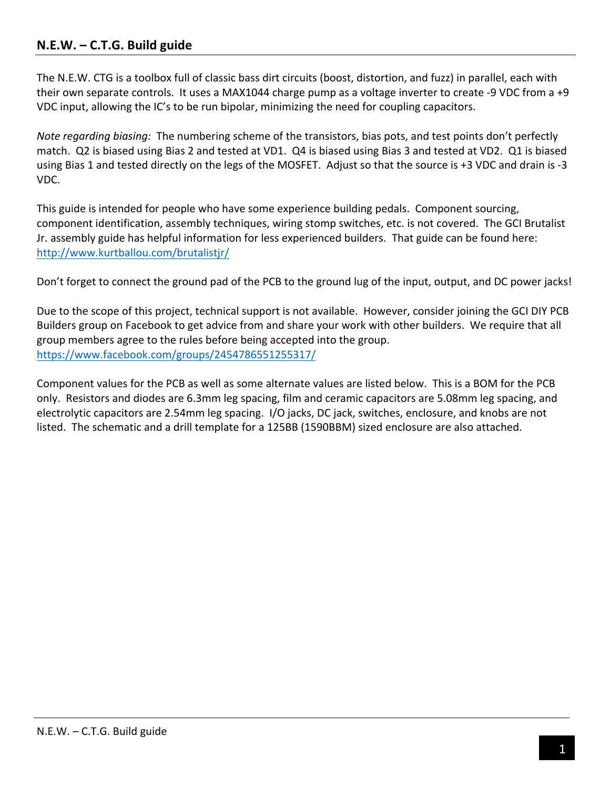## **N.E.W. – C.T.G. Build guide**

The N.E.W. CTG is a toolbox full of classic bass dirt circuits (boost, distortion, and fuzz) in parallel, each with their own separate controls. It uses a MAX1044 charge pump as a voltage inverter to create -9 VDC from a +9 VDC input, allowing the IC's to be run bipolar, minimizing the need for coupling capacitors.

*Note regarding biasing:* The numbering scheme of the transistors, bias pots, and test points don't perfectly match. Q2 is biased using Bias 2 and tested at VD1. Q4 is biased using Bias 3 and tested at VD2. Q1 is biased using Bias 1 and tested directly on the legs of the MOSFET. Adjust so that the source is +3 VDC and drain is -3 VDC.

This guide is intended for people who have some experience building pedals. Component sourcing, component identification, assembly techniques, wiring stomp switches, etc. is not covered. The GCI Brutalist Jr. assembly guide has helpful information for less experienced builders. That guide can be found here: http://www.kurtballou.com/brutalistjr/

Don't forget to connect the ground pad of the PCB to the ground lug of the input, output, and DC power jacks!

Due to the scope of this project, technical support is not available. However, consider joining the GCI DIY PCB Builders group on Facebook to get advice from and share your work with other builders. We require that all group members agree to the rules before being accepted into the group. https://www.facebook.com/groups/2454786551255317/

Component values for the PCB as well as some alternate values are listed below. This is a BOM for the PCB only. Resistors and diodes are 6.3mm leg spacing, film and ceramic capacitors are 5.08mm leg spacing, and electrolytic capacitors are 2.54mm leg spacing. I/O jacks, DC jack, switches, enclosure, and knobs are not listed. The schematic and a drill template for a 125BB (1590BBM) sized enclosure are also attached.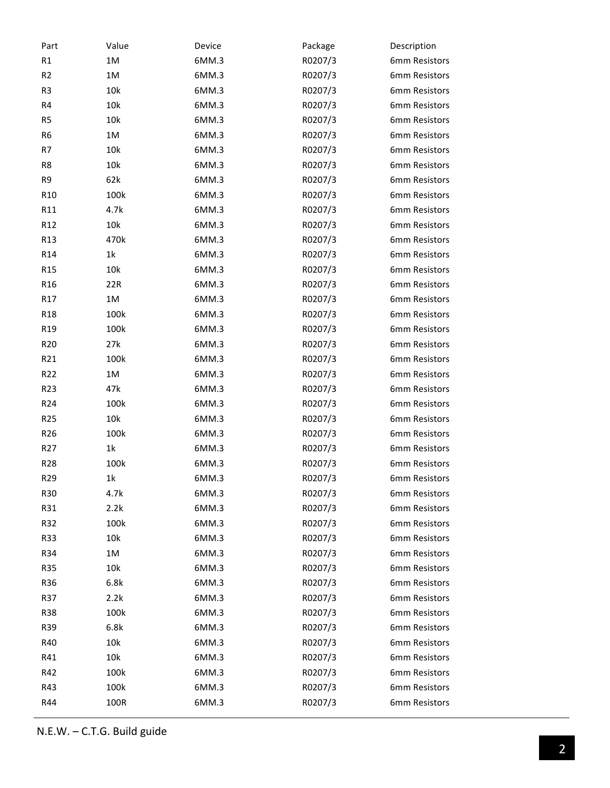| Part            | Value          | Device | Package | Description   |
|-----------------|----------------|--------|---------|---------------|
| R1              | 1M             | 6MM.3  | R0207/3 | 6mm Resistors |
| R <sub>2</sub>  | $1M$           | 6MM.3  | R0207/3 | 6mm Resistors |
| R <sub>3</sub>  | 10k            | 6MM.3  | R0207/3 | 6mm Resistors |
| R4              | 10k            | 6MM.3  | R0207/3 | 6mm Resistors |
| R <sub>5</sub>  | 10k            | 6MM.3  | R0207/3 | 6mm Resistors |
| R6              | $1M$           | 6MM.3  | R0207/3 | 6mm Resistors |
| R7              | 10k            | 6MM.3  | R0207/3 | 6mm Resistors |
| R8              | 10k            | 6MM.3  | R0207/3 | 6mm Resistors |
| R9              | 62k            | 6MM.3  | R0207/3 | 6mm Resistors |
| R <sub>10</sub> | 100k           | 6MM.3  | R0207/3 | 6mm Resistors |
| R11             | 4.7k           | 6MM.3  | R0207/3 | 6mm Resistors |
| R <sub>12</sub> | 10k            | 6MM.3  | R0207/3 | 6mm Resistors |
| R13             | 470k           | 6MM.3  | R0207/3 | 6mm Resistors |
| R <sub>14</sub> | 1k             | 6MM.3  | R0207/3 | 6mm Resistors |
| R <sub>15</sub> | 10k            | 6MM.3  | R0207/3 | 6mm Resistors |
| R <sub>16</sub> | 22R            | 6MM.3  | R0207/3 | 6mm Resistors |
| R17             | 1M             | 6MM.3  | R0207/3 | 6mm Resistors |
| R <sub>18</sub> | 100k           | 6MM.3  | R0207/3 | 6mm Resistors |
| R19             | 100k           | 6MM.3  | R0207/3 | 6mm Resistors |
| R <sub>20</sub> | 27k            | 6MM.3  | R0207/3 | 6mm Resistors |
| R21             | 100k           | 6MM.3  | R0207/3 | 6mm Resistors |
| R <sub>22</sub> | $1M$           | 6MM.3  | R0207/3 | 6mm Resistors |
| R23             | 47k            | 6MM.3  | R0207/3 | 6mm Resistors |
| R <sub>24</sub> | 100k           | 6MM.3  | R0207/3 | 6mm Resistors |
| R <sub>25</sub> | 10k            | 6MM.3  | R0207/3 | 6mm Resistors |
| R <sub>26</sub> | 100k           | 6MM.3  | R0207/3 | 6mm Resistors |
| R <sub>27</sub> | 1 <sup>k</sup> | 6MM.3  | R0207/3 | 6mm Resistors |
| R <sub>28</sub> | 100k           | 6MM.3  | R0207/3 | 6mm Resistors |
| R29             | 1 <sup>k</sup> | 6MM.3  | R0207/3 | 6mm Resistors |
| R30             | 4.7k           | 6MM.3  | R0207/3 | 6mm Resistors |
| R31             | 2.2k           | 6MM.3  | R0207/3 | 6mm Resistors |
| R32             | 100k           | 6MM.3  | R0207/3 | 6mm Resistors |
| R33             | 10k            | 6MM.3  | R0207/3 | 6mm Resistors |
| R34             | 1M             | 6MM.3  | R0207/3 | 6mm Resistors |
| <b>R35</b>      | 10k            | 6MM.3  | R0207/3 | 6mm Resistors |
| R36             | 6.8k           | 6MM.3  | R0207/3 | 6mm Resistors |
| R37             | 2.2k           | 6MM.3  | R0207/3 | 6mm Resistors |
| <b>R38</b>      | 100k           | 6MM.3  | R0207/3 | 6mm Resistors |
| R39             | 6.8k           | 6MM.3  | R0207/3 | 6mm Resistors |
| R40             | 10k            | 6MM.3  | R0207/3 | 6mm Resistors |
| R41             | 10k            | 6MM.3  | R0207/3 | 6mm Resistors |
| R42             | 100k           | 6MM.3  | R0207/3 | 6mm Resistors |
| R43             | 100k           | 6MM.3  | R0207/3 | 6mm Resistors |
| R44             | 100R           | 6MM.3  | R0207/3 | 6mm Resistors |
|                 |                |        |         |               |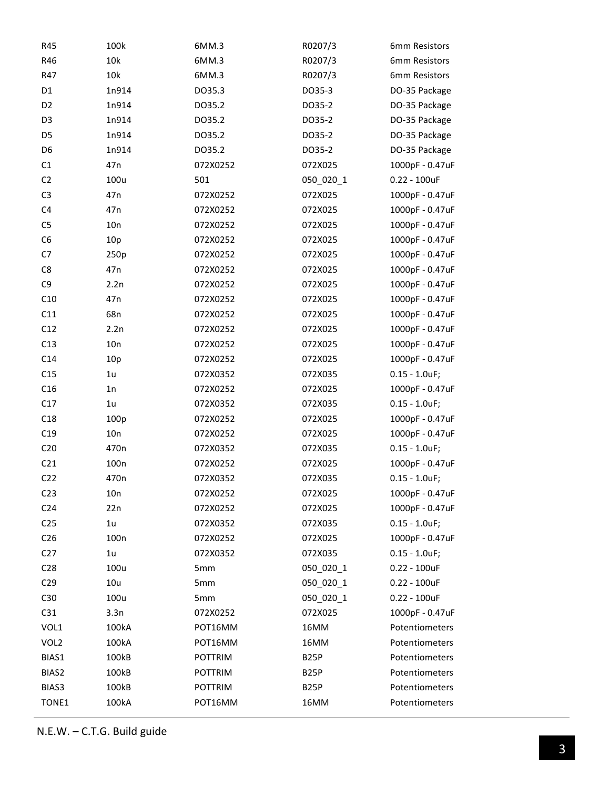| R45              | 100k             | 6MM.3    | R0207/3           | 6mm Resistors    |
|------------------|------------------|----------|-------------------|------------------|
| R46              | 10k              | 6MM.3    | R0207/3           | 6mm Resistors    |
| R47              | 10k              | 6MM.3    | R0207/3           | 6mm Resistors    |
| D <sub>1</sub>   | 1n914            | DO35.3   | DO35-3            | DO-35 Package    |
| D <sub>2</sub>   | 1n914            | DO35.2   | DO35-2            | DO-35 Package    |
| D <sub>3</sub>   | 1n914            | DO35.2   | DO35-2            | DO-35 Package    |
| D <sub>5</sub>   | 1n914            | DO35.2   | DO35-2            | DO-35 Package    |
| D <sub>6</sub>   | 1n914            | DO35.2   | DO35-2            | DO-35 Package    |
| C1               | 47 <sub>n</sub>  | 072X0252 | 072X025           | 1000pF - 0.47uF  |
| C <sub>2</sub>   | 100u             | 501      | 050_020_1         | $0.22 - 100$ uF  |
| C <sub>3</sub>   | 47 <sub>n</sub>  | 072X0252 | 072X025           | 1000pF - 0.47uF  |
| C <sub>4</sub>   | 47 <sub>n</sub>  | 072X0252 | 072X025           | 1000pF - 0.47uF  |
| C <sub>5</sub>   | 10n              | 072X0252 | 072X025           | 1000pF - 0.47uF  |
| C <sub>6</sub>   | 10p              | 072X0252 | 072X025           | 1000pF - 0.47uF  |
| C7               | 250p             | 072X0252 | 072X025           | 1000pF - 0.47uF  |
| C8               | 47 <sub>n</sub>  | 072X0252 | 072X025           | 1000pF - 0.47uF  |
| C <sub>9</sub>   | 2.2n             | 072X0252 | 072X025           | 1000pF - 0.47uF  |
| C10              | 47 <sub>n</sub>  | 072X0252 | 072X025           | 1000pF - 0.47uF  |
| C11              | 68n              | 072X0252 | 072X025           | 1000pF - 0.47uF  |
| C12              | 2.2n             | 072X0252 | 072X025           | 1000pF - 0.47uF  |
| C13              | 10n              | 072X0252 | 072X025           | 1000pF - 0.47uF  |
| C14              | 10p              | 072X0252 | 072X025           | 1000pF - 0.47uF  |
| C15              | 1 <sub>u</sub>   | 072X0352 | 072X035           | $0.15 - 1.0$ uF; |
| C16              | 1n               | 072X0252 | 072X025           | 1000pF - 0.47uF  |
| C17              | 1 <sub>u</sub>   | 072X0352 | 072X035           | $0.15 - 1.0$ uF; |
| C18              | 100p             | 072X0252 | 072X025           | 1000pF - 0.47uF  |
| C19              | 10n              | 072X0252 | 072X025           | 1000pF - 0.47uF  |
| C <sub>20</sub>  | 470n             | 072X0352 | 072X035           | $0.15 - 1.0$ uF; |
| C <sub>21</sub>  | 100 <sub>n</sub> | 072X0252 | 072X025           | 1000pF - 0.47uF  |
| C <sub>22</sub>  | 470n             | 072X0352 | 072X035           | $0.15 - 1.0$ uF; |
| C <sub>23</sub>  | 10n              | 072X0252 | 072X025           | 1000pF - 0.47uF  |
| C <sub>24</sub>  | 22n              | 072X0252 | 072X025           | 1000pF - 0.47uF  |
| C <sub>25</sub>  | 1u               | 072X0352 | 072X035           | $0.15 - 1.0$ uF; |
| C <sub>26</sub>  | 100 <sub>n</sub> | 072X0252 | 072X025           | 1000pF - 0.47uF  |
| C <sub>27</sub>  | 1u               | 072X0352 | 072X035           | $0.15 - 1.0$ uF; |
| C <sub>28</sub>  | 100u             | 5mm      | 050_020_1         | $0.22 - 100$ uF  |
| C <sub>29</sub>  | 10u              | 5mm      | 050 020 1         | $0.22 - 100$ uF  |
| C30              | 100u             | 5mm      | 050_020_1         | $0.22 - 100$ uF  |
| C31              | 3.3n             | 072X0252 | 072X025           | 1000pF - 0.47uF  |
| VOL1             | 100kA            | POT16MM  | 16MM              | Potentiometers   |
| VOL <sub>2</sub> | 100kA            | POT16MM  | 16MM              | Potentiometers   |
| BIAS1            | 100kB            | POTTRIM  | B <sub>25</sub> P | Potentiometers   |
| BIAS2            | 100kB            | POTTRIM  | <b>B25P</b>       | Potentiometers   |
| BIAS3            | 100kB            | POTTRIM  | <b>B25P</b>       | Potentiometers   |
| TONE1            | 100kA            | POT16MM  | 16MM              | Potentiometers   |
|                  |                  |          |                   |                  |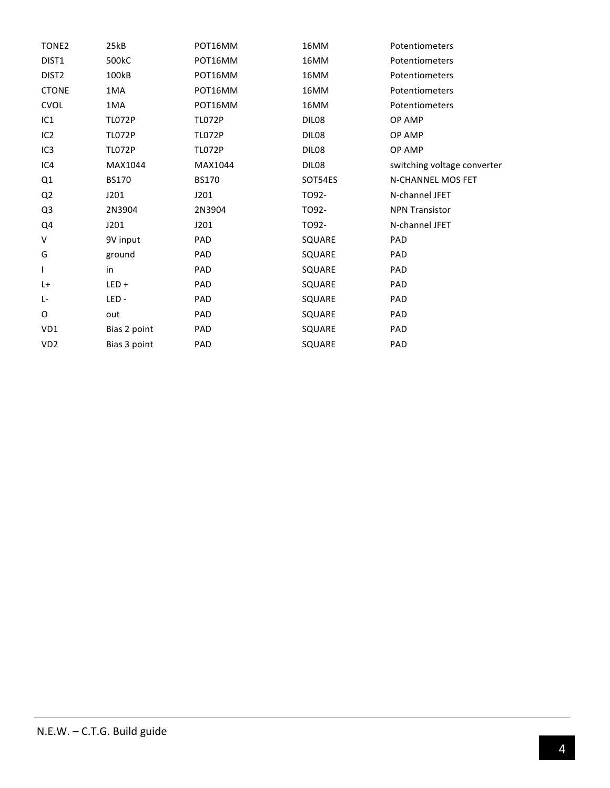| TONE <sub>2</sub> | 25kB          | POT16MM       | 16MM    | Potentiometers              |
|-------------------|---------------|---------------|---------|-----------------------------|
| DIST1             | 500kC         | POT16MM       | 16MM    | Potentiometers              |
| DIST <sub>2</sub> | 100kB         | POT16MM       | 16MM    | Potentiometers              |
| <b>CTONE</b>      | 1MA           | POT16MM       | 16MM    | Potentiometers              |
| CVOL              | 1MA           | POT16MM       | 16MM    | Potentiometers              |
| IC1               | <b>TL072P</b> | <b>TL072P</b> | DIL08   | OP AMP                      |
| IC <sub>2</sub>   | <b>TL072P</b> | <b>TL072P</b> | DIL08   | OP AMP                      |
| IC <sub>3</sub>   | <b>TL072P</b> | <b>TL072P</b> | DIL08   | <b>OP AMP</b>               |
| IC4               | MAX1044       | MAX1044       | DIL08   | switching voltage converter |
| Q1                | <b>BS170</b>  | <b>BS170</b>  | SOT54ES | N-CHANNEL MOS FET           |
| Q <sub>2</sub>    | J201          | J201          | TO92-   | N-channel JFET              |
| Q <sub>3</sub>    | 2N3904        | 2N3904        | TO92-   | <b>NPN Transistor</b>       |
| Q4                | J201          | J201          | TO92-   | N-channel JFET              |
| V                 | 9V input      | PAD           | SQUARE  | PAD                         |
| G                 | ground        | PAD           | SQUARE  | PAD                         |
| I                 | in            | PAD           | SQUARE  | PAD                         |
| $L+$              | $LED +$       | PAD           | SQUARE  | PAD                         |
| Ŀ                 | LED-          | PAD           | SQUARE  | PAD                         |
| 0                 | out           | PAD           | SQUARE  | PAD                         |
| VD1               | Bias 2 point  | PAD           | SQUARE  | PAD                         |
| VD <sub>2</sub>   | Bias 3 point  | PAD           | SQUARE  | PAD                         |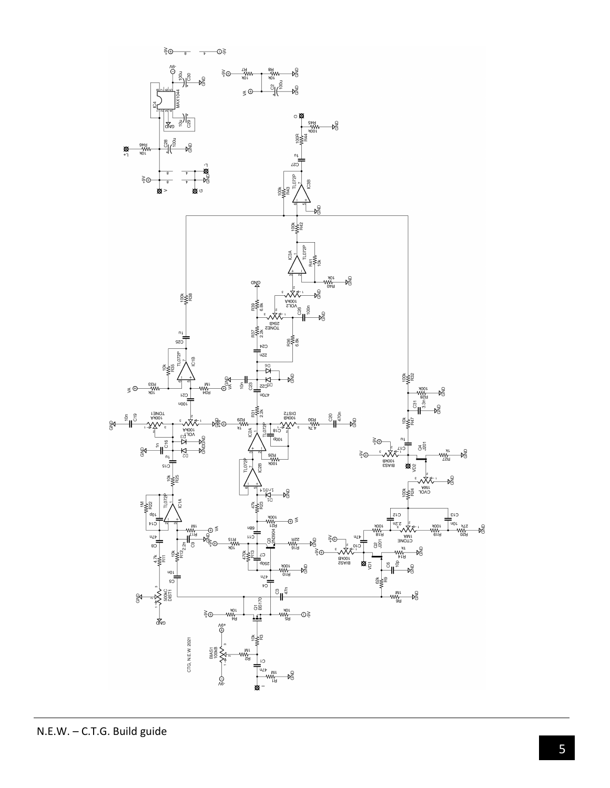